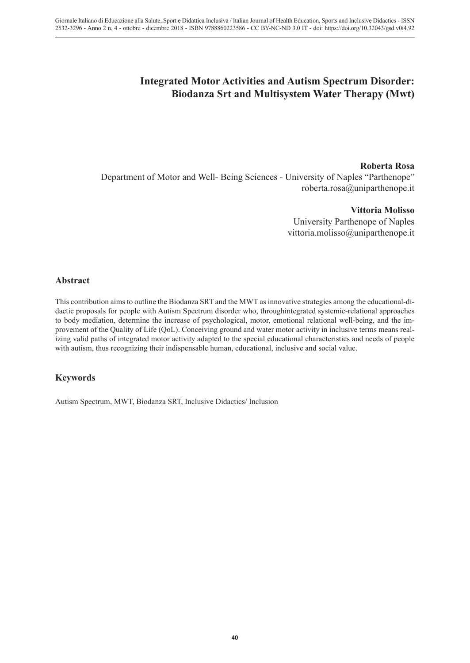# **Integrated Motor Activities and Autism Spectrum Disorder: Biodanza Srt and Multisystem Water Therapy (Mwt)**

# **Roberta Rosa**

Department of Motor and Well- Being Sciences - University of Naples "Parthenope" roberta.rosa@uniparthenope.it

### **Vittoria Molisso**

University Parthenope of Naples vittoria.molisso@uniparthenope.it

# **Abstract**

This contribution aims to outline the Biodanza SRT and the MWT as innovative strategies among the educational-didactic proposals for people with Autism Spectrum disorder who, throughintegrated systemic-relational approaches to body mediation, determine the increase of psychological, motor, emotional relational well-being, and the improvement of the Quality of Life (QoL). Conceiving ground and water motor activity in inclusive terms means realizing valid paths of integrated motor activity adapted to the special educational characteristics and needs of people with autism, thus recognizing their indispensable human, educational, inclusive and social value.

# **Keywords**

Autism Spectrum, MWT, Biodanza SRT, Inclusive Didactics/ Inclusion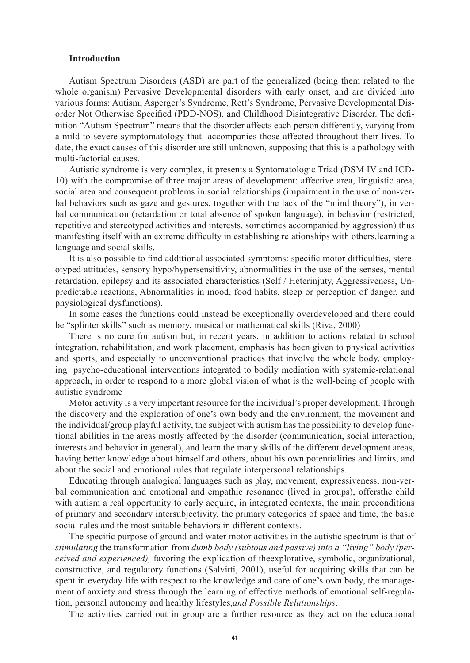### **Introduction**

Autism Spectrum Disorders (ASD) are part of the generalized (being them related to the whole organism) Pervasive Developmental disorders with early onset, and are divided into various forms: Autism, Asperger's Syndrome, Rett's Syndrome, Pervasive Developmental Disorder Not Otherwise Specified (PDD-NOS), and Childhood Disintegrative Disorder. The definition "Autism Spectrum" means that the disorder affects each person differently, varying from a mild to severe symptomatology that accompanies those affected throughout their lives. To date, the exact causes of this disorder are still unknown, supposing that this is a pathology with multi-factorial causes.

Autistic syndrome is very complex, it presents a Syntomatologic Triad (DSM IV and ICD-10) with the compromise of three major areas of development: affective area, linguistic area, social area and consequent problems in social relationships (impairment in the use of non-verbal behaviors such as gaze and gestures, together with the lack of the "mind theory"), in verbal communication (retardation or total absence of spoken language), in behavior (restricted, repetitive and stereotyped activities and interests, sometimes accompanied by aggression) thus manifesting itself with an extreme difficulty in establishing relationships with others,learning a language and social skills.

It is also possible to find additional associated symptoms: specific motor difficulties, stereotyped attitudes, sensory hypo/hypersensitivity, abnormalities in the use of the senses, mental retardation, epilepsy and its associated characteristics (Self / Heterinjuty, Aggressiveness, Unpredictable reactions, Abnormalities in mood, food habits, sleep or perception of danger, and physiological dysfunctions).

In some cases the functions could instead be exceptionally overdeveloped and there could be "splinter skills" such as memory, musical or mathematical skills (Riva, 2000)

There is no cure for autism but, in recent years, in addition to actions related to school integration, rehabilitation, and work placement, emphasis has been given to physical activities and sports, and especially to unconventional practices that involve the whole body, employing psycho-educational interventions integrated to bodily mediation with systemic-relational approach, in order to respond to a more global vision of what is the well-being of people with autistic syndrome

Motor activity is a very important resource for the individual's proper development. Through the discovery and the exploration of one's own body and the environment, the movement and the individual/group playful activity, the subject with autism has the possibility to develop functional abilities in the areas mostly affected by the disorder (communication, social interaction, interests and behavior in general), and learn the many skills of the different development areas, having better knowledge about himself and others, about his own potentialities and limits, and about the social and emotional rules that regulate interpersonal relationships.

Educating through analogical languages such as play, movement, expressiveness, non-verbal communication and emotional and empathic resonance (lived in groups), offersthe child with autism a real opportunity to early acquire, in integrated contexts, the main preconditions of primary and secondary intersubjectivity, the primary categories of space and time, the basic social rules and the most suitable behaviors in different contexts.

The specific purpose of ground and water motor activities in the autistic spectrum is that of *stimulating* the transformation from *dumb body (subtous and passive) into a "living" body (perceived and experienced),* favoring the explication of theexplorative, symbolic, organizational, constructive, and regulatory functions (Salvitti, 2001), useful for acquiring skills that can be spent in everyday life with respect to the knowledge and care of one's own body, the management of anxiety and stress through the learning of effective methods of emotional self-regulation, personal autonomy and healthy lifestyles,*and Possible Relationships*.

The activities carried out in group are a further resource as they act on the educational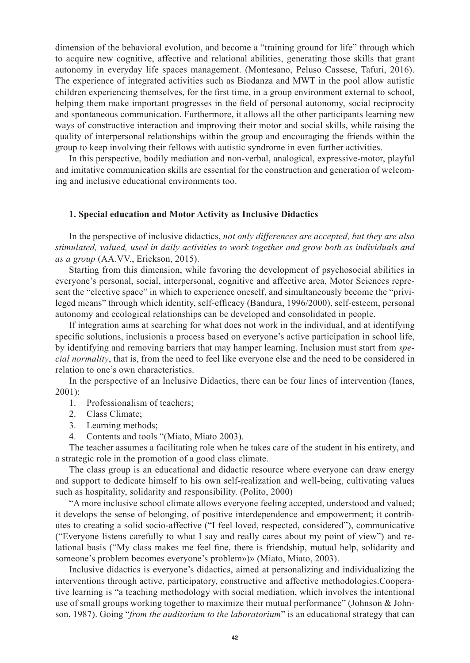dimension of the behavioral evolution, and become a "training ground for life" through which to acquire new cognitive, affective and relational abilities, generating those skills that grant autonomy in everyday life spaces management. (Montesano, Peluso Cassese, Tafuri, 2016). The experience of integrated activities such as Biodanza and MWT in the pool allow autistic children experiencing themselves, for the first time, in a group environment external to school, helping them make important progresses in the field of personal autonomy, social reciprocity and spontaneous communication. Furthermore, it allows all the other participants learning new ways of constructive interaction and improving their motor and social skills, while raising the quality of interpersonal relationships within the group and encouraging the friends within the group to keep involving their fellows with autistic syndrome in even further activities.

In this perspective, bodily mediation and non-verbal, analogical, expressive-motor, playful and imitative communication skills are essential for the construction and generation of welcoming and inclusive educational environments too.

#### **1. Special education and Motor Activity as Inclusive Didactics**

In the perspective of inclusive didactics, *not only differences are accepted, but they are also stimulated, valued, used in daily activities to work together and grow both as individuals and as a group* (AA.VV., Erickson, 2015).

Starting from this dimension, while favoring the development of psychosocial abilities in everyone's personal, social, interpersonal, cognitive and affective area, Motor Sciences represent the "elective space" in which to experience oneself, and simultaneously become the "privileged means" through which identity, self-efficacy (Bandura, 1996/2000), self-esteem, personal autonomy and ecological relationships can be developed and consolidated in people.

If integration aims at searching for what does not work in the individual, and at identifying specific solutions, inclusionis a process based on everyone's active participation in school life, by identifying and removing barriers that may hamper learning. Inclusion must start from *special normality*, that is, from the need to feel like everyone else and the need to be considered in relation to one's own characteristics.

In the perspective of an Inclusive Didactics, there can be four lines of intervention (Ianes, 2001):

- 1. Professionalism of teachers;
- 2. Class Climate;
- 3. Learning methods;
- 4. Contents and tools "(Miato, Miato 2003).

The teacher assumes a facilitating role when he takes care of the student in his entirety, and a strategic role in the promotion of a good class climate.

The class group is an educational and didactic resource where everyone can draw energy and support to dedicate himself to his own self-realization and well-being, cultivating values such as hospitality, solidarity and responsibility. (Polito, 2000)

"A more inclusive school climate allows everyone feeling accepted, understood and valued; it develops the sense of belonging, of positive interdependence and empowerment; it contributes to creating a solid socio-affective ("I feel loved, respected, considered"), communicative ("Everyone listens carefully to what I say and really cares about my point of view") and relational basis ("My class makes me feel fine, there is friendship, mutual help, solidarity and someone's problem becomes everyone's problem»)» (Miato, Miato, 2003).

Inclusive didactics is everyone's didactics, aimed at personalizing and individualizing the interventions through active, participatory, constructive and affective methodologies.Cooperative learning is "a teaching methodology with social mediation, which involves the intentional use of small groups working together to maximize their mutual performance" (Johnson & Johnson, 1987). Going "*from the auditorium to the laboratorium*" is an educational strategy that can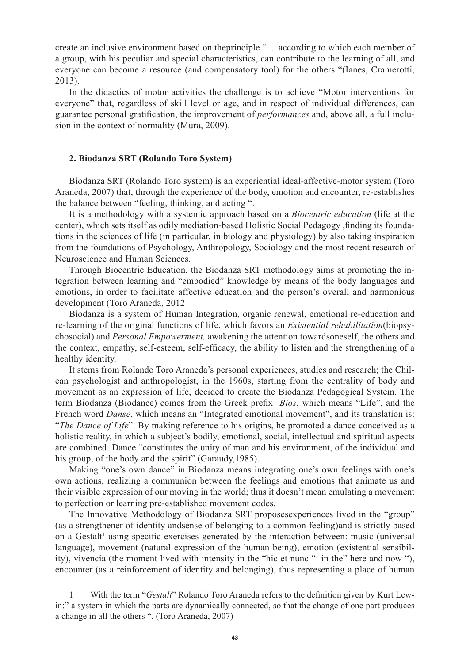create an inclusive environment based on theprinciple " ... according to which each member of a group, with his peculiar and special characteristics, can contribute to the learning of all, and everyone can become a resource (and compensatory tool) for the others "(Ianes, Cramerotti, 2013).

In the didactics of motor activities the challenge is to achieve "Motor interventions for everyone" that, regardless of skill level or age, and in respect of individual differences, can guarantee personal gratification, the improvement of *performances* and, above all, a full inclusion in the context of normality (Mura, 2009).

## **2. Biodanza SRT (Rolando Toro System)**

Biodanza SRT (Rolando Toro system) is an experiential ideal-affective-motor system (Toro Araneda, 2007) that, through the experience of the body, emotion and encounter, re-establishes the balance between "feeling, thinking, and acting ".

It is a methodology with a systemic approach based on a *Biocentric education* (life at the center), which sets itself as odily mediation-based Holistic Social Pedagogy ,finding its foundations in the sciences of life (in particular, in biology and physiology) by also taking inspiration from the foundations of Psychology, Anthropology, Sociology and the most recent research of Neuroscience and Human Sciences.

Through Biocentric Education, the Biodanza SRT methodology aims at promoting the integration between learning and "embodied" knowledge by means of the body languages and emotions, in order to facilitate affective education and the person's overall and harmonious development (Toro Araneda, 2012

Biodanza is a system of Human Integration, organic renewal, emotional re-education and re-learning of the original functions of life, which favors an *Existential rehabilitation*(biopsychosocial) and *Personal Empowerment,* awakening the attention towardsoneself, the others and the context, empathy, self-esteem, self-efficacy, the ability to listen and the strengthening of a healthy identity.

It stems from Rolando Toro Araneda's personal experiences, studies and research; the Chilean psychologist and anthropologist, in the 1960s, starting from the centrality of body and movement as an expression of life, decided to create the Biodanza Pedagogical System. The term Biodanza (Biodance) comes from the Greek prefix *Bios*, which means "Life", and the French word *Danse*, which means an "Integrated emotional movement", and its translation is: "*The Dance of Life*". By making reference to his origins, he promoted a dance conceived as a holistic reality, in which a subject's bodily, emotional, social, intellectual and spiritual aspects are combined. Dance "constitutes the unity of man and his environment, of the individual and his group, of the body and the spirit" (Garaudy, 1985).

Making "one's own dance" in Biodanza means integrating one's own feelings with one's own actions, realizing a communion between the feelings and emotions that animate us and their visible expression of our moving in the world; thus it doesn't mean emulating a movement to perfection or learning pre-established movement codes.

The Innovative Methodology of Biodanza SRT proposesexperiences lived in the "group" (as a strengthener of identity andsense of belonging to a common feeling)and is strictly based on a Gestalt<sup>1</sup> using specific exercises generated by the interaction between: music (universal language), movement (natural expression of the human being), emotion (existential sensibility), vivencia (the moment lived with intensity in the "hic et nunc ": in the" here and now "), encounter (as a reinforcement of identity and belonging), thus representing a place of human

<sup>1</sup> With the term "*Gestalt*" Rolando Toro Araneda refers to the definition given by Kurt Lewin:" a system in which the parts are dynamically connected, so that the change of one part produces a change in all the others ". (Toro Araneda, 2007)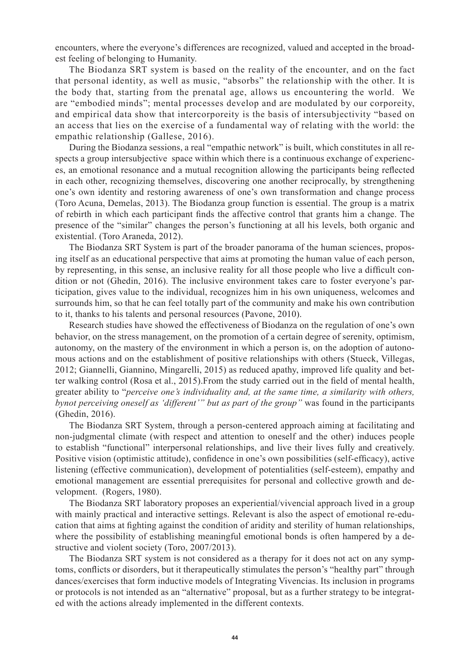encounters, where the everyone's differences are recognized, valued and accepted in the broadest feeling of belonging to Humanity.

The Biodanza SRT system is based on the reality of the encounter, and on the fact that personal identity, as well as music, "absorbs" the relationship with the other. It is the body that, starting from the prenatal age, allows us encountering the world. We are "embodied minds"; mental processes develop and are modulated by our corporeity, and empirical data show that intercorporeity is the basis of intersubjectivity "based on an access that lies on the exercise of a fundamental way of relating with the world: the empathic relationship (Gallese, 2016).

During the Biodanza sessions, a real "empathic network" is built, which constitutes in all respects a group intersubjective space within which there is a continuous exchange of experiences, an emotional resonance and a mutual recognition allowing the participants being reflected in each other, recognizing themselves, discovering one another reciprocally, by strengthening one's own identity and restoring awareness of one's own transformation and change process (Toro Acuna, Demelas, 2013). The Biodanza group function is essential. The group is a matrix of rebirth in which each participant finds the affective control that grants him a change. The presence of the "similar" changes the person's functioning at all his levels, both organic and existential. (Toro Araneda, 2012).

The Biodanza SRT System is part of the broader panorama of the human sciences, proposing itself as an educational perspective that aims at promoting the human value of each person, by representing, in this sense, an inclusive reality for all those people who live a difficult condition or not (Ghedin, 2016). The inclusive environment takes care to foster everyone's participation, gives value to the individual, recognizes him in his own uniqueness, welcomes and surrounds him, so that he can feel totally part of the community and make his own contribution to it, thanks to his talents and personal resources (Pavone, 2010).

Research studies have showed the effectiveness of Biodanza on the regulation of one's own behavior, on the stress management, on the promotion of a certain degree of serenity, optimism, autonomy, on the mastery of the environment in which a person is, on the adoption of autonomous actions and on the establishment of positive relationships with others (Stueck, Villegas, 2012; Giannelli, Giannino, Mingarelli, 2015) as reduced apathy, improved life quality and better walking control (Rosa et al., 2015).From the study carried out in the field of mental health, greater ability to "*perceive one's individuality and, at the same time, a similarity with others, bynot perceiving oneself as 'different'" but as part of the group"* was found in the participants (Ghedin, 2016).

The Biodanza SRT System, through a person-centered approach aiming at facilitating and non-judgmental climate (with respect and attention to oneself and the other) induces people to establish "functional" interpersonal relationships, and live their lives fully and creatively. Positive vision (optimistic attitude), confidence in one's own possibilities (self-efficacy), active listening (effective communication), development of potentialities (self-esteem), empathy and emotional management are essential prerequisites for personal and collective growth and development. (Rogers, 1980).

The Biodanza SRT laboratory proposes an experiential/vivencial approach lived in a group with mainly practical and interactive settings. Relevant is also the aspect of emotional re-education that aims at fighting against the condition of aridity and sterility of human relationships, where the possibility of establishing meaningful emotional bonds is often hampered by a destructive and violent society (Toro, 2007/2013).

The Biodanza SRT system is not considered as a therapy for it does not act on any symptoms, conflicts or disorders, but it therapeutically stimulates the person's "healthy part" through dances/exercises that form inductive models of Integrating Vivencias. Its inclusion in programs or protocols is not intended as an "alternative" proposal, but as a further strategy to be integrated with the actions already implemented in the different contexts.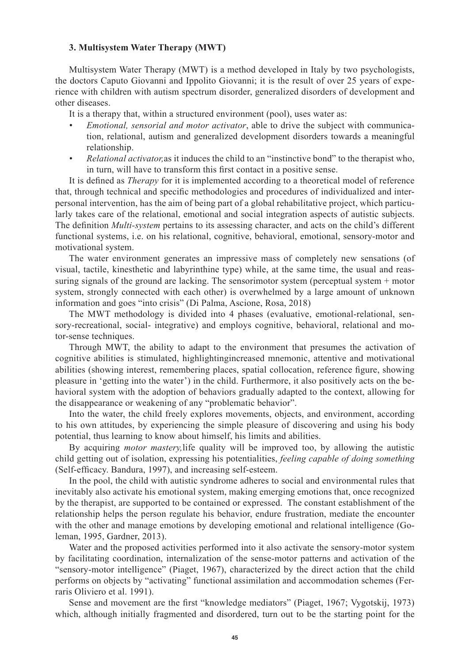### **3. Multisystem Water Therapy (MWT)**

Multisystem Water Therapy (MWT) is a method developed in Italy by two psychologists, the doctors Caputo Giovanni and Ippolito Giovanni; it is the result of over 25 years of experience with children with autism spectrum disorder, generalized disorders of development and other diseases.

It is a therapy that, within a structured environment (pool), uses water as:

- *Emotional, sensorial and motor activator*, able to drive the subject with communication, relational, autism and generalized development disorders towards a meaningful relationship.
- *• Relational activator,*as it induces the child to an "instinctive bond" to the therapist who, in turn, will have to transform this first contact in a positive sense.

It is defined as *Therapy* for it is implemented according to a theoretical model of reference that, through technical and specific methodologies and procedures of individualized and interpersonal intervention, has the aim of being part of a global rehabilitative project, which particularly takes care of the relational, emotional and social integration aspects of autistic subjects. The definition *Multi-system* pertains to its assessing character, and acts on the child's different functional systems, i.e. on his relational, cognitive, behavioral, emotional, sensory-motor and motivational system.

The water environment generates an impressive mass of completely new sensations (of visual, tactile, kinesthetic and labyrinthine type) while, at the same time, the usual and reassuring signals of the ground are lacking. The sensorimotor system (perceptual system + motor system, strongly connected with each other) is overwhelmed by a large amount of unknown information and goes "into crisis" (Di Palma, Ascione, Rosa, 2018)

The MWT methodology is divided into 4 phases (evaluative, emotional-relational, sensory-recreational, social- integrative) and employs cognitive, behavioral, relational and motor-sense techniques.

Through MWT, the ability to adapt to the environment that presumes the activation of cognitive abilities is stimulated, highlightingincreased mnemonic, attentive and motivational abilities (showing interest, remembering places, spatial collocation, reference figure, showing pleasure in 'getting into the water') in the child. Furthermore, it also positively acts on the behavioral system with the adoption of behaviors gradually adapted to the context, allowing for the disappearance or weakening of any "problematic behavior".

Into the water, the child freely explores movements, objects, and environment, according to his own attitudes, by experiencing the simple pleasure of discovering and using his body potential, thus learning to know about himself, his limits and abilities.

By acquiring *motor mastery,*life quality will be improved too, by allowing the autistic child getting out of isolation, expressing his potentialities, *feeling capable of doing something* (Self-efficacy. Bandura, 1997), and increasing self-esteem.

In the pool, the child with autistic syndrome adheres to social and environmental rules that inevitably also activate his emotional system, making emerging emotions that, once recognized by the therapist, are supported to be contained or expressed. The constant establishment of the relationship helps the person regulate his behavior, endure frustration, mediate the encounter with the other and manage emotions by developing emotional and relational intelligence (Goleman, 1995, Gardner, 2013).

Water and the proposed activities performed into it also activate the sensory-motor system by facilitating coordination, internalization of the sense-motor patterns and activation of the "sensory-motor intelligence" (Piaget, 1967), characterized by the direct action that the child performs on objects by "activating" functional assimilation and accommodation schemes (Ferraris Oliviero et al. 1991).

Sense and movement are the first "knowledge mediators" (Piaget, 1967; Vygotskij, 1973) which, although initially fragmented and disordered, turn out to be the starting point for the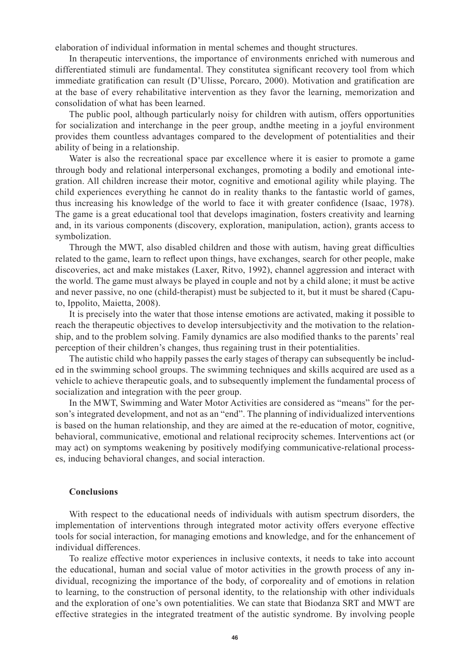elaboration of individual information in mental schemes and thought structures.

In therapeutic interventions, the importance of environments enriched with numerous and differentiated stimuli are fundamental. They constitutea significant recovery tool from which immediate gratification can result (D'Ulisse, Porcaro, 2000). Motivation and gratification are at the base of every rehabilitative intervention as they favor the learning, memorization and consolidation of what has been learned.

The public pool, although particularly noisy for children with autism, offers opportunities for socialization and interchange in the peer group, andthe meeting in a joyful environment provides them countless advantages compared to the development of potentialities and their ability of being in a relationship.

Water is also the recreational space par excellence where it is easier to promote a game through body and relational interpersonal exchanges, promoting a bodily and emotional integration. All children increase their motor, cognitive and emotional agility while playing. The child experiences everything he cannot do in reality thanks to the fantastic world of games, thus increasing his knowledge of the world to face it with greater confidence (Isaac, 1978). The game is a great educational tool that develops imagination, fosters creativity and learning and, in its various components (discovery, exploration, manipulation, action), grants access to symbolization.

Through the MWT, also disabled children and those with autism, having great difficulties related to the game, learn to reflect upon things, have exchanges, search for other people, make discoveries, act and make mistakes (Laxer, Ritvo, 1992), channel aggression and interact with the world. The game must always be played in couple and not by a child alone; it must be active and never passive, no one (child-therapist) must be subjected to it, but it must be shared (Caputo, Ippolito, Maietta, 2008).

It is precisely into the water that those intense emotions are activated, making it possible to reach the therapeutic objectives to develop intersubjectivity and the motivation to the relationship, and to the problem solving. Family dynamics are also modified thanks to the parents' real perception of their children's changes, thus regaining trust in their potentialities.

The autistic child who happily passes the early stages of therapy can subsequently be included in the swimming school groups. The swimming techniques and skills acquired are used as a vehicle to achieve therapeutic goals, and to subsequently implement the fundamental process of socialization and integration with the peer group.

In the MWT, Swimming and Water Motor Activities are considered as "means" for the person's integrated development, and not as an "end". The planning of individualized interventions is based on the human relationship, and they are aimed at the re-education of motor, cognitive, behavioral, communicative, emotional and relational reciprocity schemes. Interventions act (or may act) on symptoms weakening by positively modifying communicative-relational processes, inducing behavioral changes, and social interaction.

# **Conclusions**

With respect to the educational needs of individuals with autism spectrum disorders, the implementation of interventions through integrated motor activity offers everyone effective tools for social interaction, for managing emotions and knowledge, and for the enhancement of individual differences.

To realize effective motor experiences in inclusive contexts, it needs to take into account the educational, human and social value of motor activities in the growth process of any individual, recognizing the importance of the body, of corporeality and of emotions in relation to learning, to the construction of personal identity, to the relationship with other individuals and the exploration of one's own potentialities. We can state that Biodanza SRT and MWT are effective strategies in the integrated treatment of the autistic syndrome. By involving people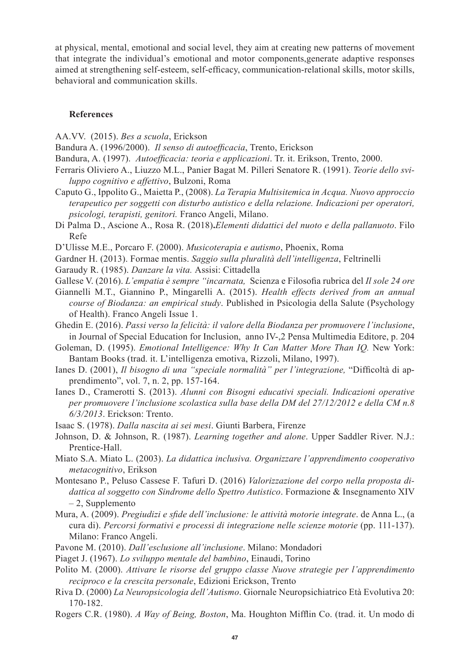at physical, mental, emotional and social level, they aim at creating new patterns of movement that integrate the individual's emotional and motor components,generate adaptive responses aimed at strengthening self-esteem, self-efficacy, communication-relational skills, motor skills, behavioral and communication skills.

### **References**

- AA.VV. (2015). *Bes a scuola*, Erickson
- Bandura A. (1996/2000). *Il senso di autoefficacia*, Trento, Erickson
- Bandura, A. (1997). *Autoefficacia: teoria e applicazioni*. Tr. it. Erikson, Trento, 2000.
- Ferraris Oliviero A., Liuzzo M.L., Panier Bagat M. Pilleri Senatore R. (1991). *Teorie dello sviluppo cognitivo e affettivo*, Bulzoni, Roma
- Caputo G., Ippolito G., Maietta P., (2008). *La Terapia Multisitemica in Acqua. Nuovo approccio terapeutico per soggetti con disturbo autistico e della relazione. Indicazioni per operatori, psicologi, terapisti, genitori.* Franco Angeli, Milano.
- Di Palma D., Ascione A., Rosa R. (2018)**.***Elementi didattici del nuoto e della pallanuoto*. Filo Refe
- D'Ulisse M.E., Porcaro F. (2000). *Musicoterapia e autismo*, Phoenix, Roma
- Gardner H. (2013). Formae mentis. *Saggio sulla pluralità dell'intelligenza*, Feltrinelli
- Garaudy R. (1985). *Danzare la vita.* Assisi: Cittadella
- Gallese V. (2016). *L'empatia è sempre "incarnata,* Scienza e Filosofia rubrica del *Il sole 24 ore*
- Giannelli M.T., Giannino P., Mingarelli A. (2015). *Health effects derived from an annual course of Biodanza: an empirical study*. Published in Psicologia della Salute (Psychology of Health). Franco Angeli Issue 1.
- Ghedin E. (2016). *Passi verso la felicità: il valore della Biodanza per promuovere l'inclusione*, in Journal of Special Education for Inclusion, anno IV-,2 Pensa Multimedia Editore, p. 204
- Goleman, D. (1995). *Emotional Intelligence: Why It Can Matter More Than IQ.* New York: Bantam Books (trad. it. L'intelligenza emotiva, Rizzoli, Milano, 1997).
- Ianes D. (2001), *Il bisogno di una "speciale normalità" per l'integrazione,* "Difficoltà di apprendimento", vol. 7, n. 2, pp. 157-164.
- Ianes D., Cramerotti S. (2013). *Alunni con Bisogni educativi speciali. Indicazioni operative per promuovere l'inclusione scolastica sulla base della DM del 27/12/2012 e della CM n.8 6/3/2013*. Erickson: Trento.
- Isaac S. (1978). *Dalla nascita ai sei mesi*. Giunti Barbera, Firenze
- Johnson, D. & Johnson, R. (1987). *Learning together and alone*. Upper Saddler River. N.J.: Prentice-Hall.
- Miato S.A. Miato L. (2003). *La didattica inclusiva. Organizzare l'apprendimento cooperativo metacognitivo*, Erikson
- Montesano P., Peluso Cassese F. Tafuri D. (2016) *Valorizzazione del corpo nella proposta didattica al soggetto con Sindrome dello Spettro Autistico*. Formazione & Insegnamento XIV – 2, Supplemento
- Mura, A. (2009). *Pregiudizi e sfide dell'inclusione: le attività motorie integrate*. de Anna L., (a cura di). *Percorsi formativi e processi di integrazione nelle scienze motorie* (pp. 111-137). Milano: Franco Angeli.
- Pavone M. (2010). *Dall'esclusione all'inclusione*. Milano: Mondadori
- Piaget J. (1967). *Lo sviluppo mentale del bambino*, Einaudi, Torino
- Polito M. (2000). *Attivare le risorse del gruppo classe Nuove strategie per l'apprendimento reciproco e la crescita personale*, Edizioni Erickson, Trento
- Riva D. (2000) *La Neuropsicologia dell'Autismo*. Giornale Neuropsichiatrico Età Evolutiva 20: 170-182.
- Rogers C.R. (1980). *A Way of Being, Boston*, Ma. Houghton Mifflin Co. (trad. it. Un modo di